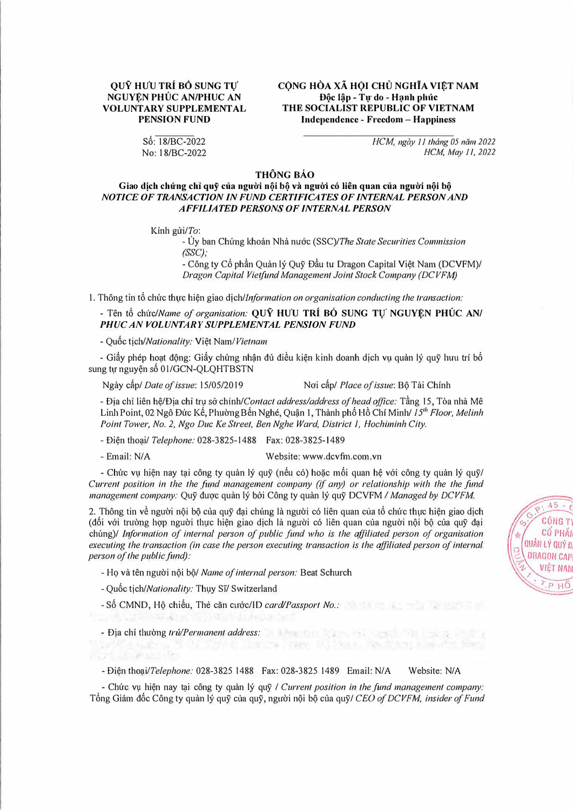## QUŶ HƯU TRÍ BỔ SUNG TƯ NGUYÊN PHÚC AN/PHUC AN **VOLUNTARY SUPPLEMENTAL PENSION FUND**

CÔNG HÒA XÃ HỘI CHỦ NGHĨA VIẾT NAM Độc lập - Tự do - Hạnh phúc THE SOCIALIST REPUBLIC OF VIETNAM **Independence - Freedom - Happiness** 

 $S6: 18/BC-2022$ No: 18/BC-2022

## HCM, ngày 11 tháng 05 năm 2022 HCM, May 11, 2022

## **THÔNG BÁO**

## Giao dịch chứng chỉ quỹ của người nội bộ và người có liên quan của người nội bộ NOTICE OF TRANSACTION IN FUND CERTIFICATES OF INTERNAL PERSON AND **AFFILIATED PERSONS OF INTERNAL PERSON**

Kinh  $\pi$ i/To:

- Ủy ban Chứng khoán Nhà nước (SSC)/The State Securities Commission  $(SSC):$ 

- Công ty Cổ phần Quản lý Quỹ Đầu tự Dragon Capital Việt Nam (DCVFM)/ Dragon Capital Vietfund Management Joint Stock Company (DCVFM)

1. Thông tin tổ chức thực hiện giao dịch/Information on organisation conducting the transaction:

- Tên tổ chức/Name of organisation: OUÝ HUU TRÍ BỒ SUNG TƯ NGUYÊN PHÚC AN/ PHUC AN VOLUNTARY SUPPLEMENTAL PENSION FUND

- Quốc tich/Nationality: Viêt Nam/Vietnam

- Giấy phép hoạt động: Giấy chứng nhận đủ điều kiện kinh doanh dịch vụ quản lý quỹ hưu trí bổ sung tự nguyện số 01/GCN-QLQHTBSTN

Ngày cấp/ Date of issue: 15/05/2019

Noi cấp/ Place of issue: Bô Tài Chính

- Địa chỉ liên hệ/Địa chỉ trụ sở chính/Contact address/address of head office: Tầng 15, Tòa nhà Mê Linh Point, 02 Ngô Đức Kế, Phường Bến Nghé, Quận 1, Thành phố Hồ Chí Minh/ 15<sup>th</sup> Floor, Melinh Point Tower, No. 2, Ngo Duc Ke Street, Ben Nghe Ward, District 1, Hochiminh City.

Website: www.dcvfm.com.vn

N DISTRIBUTION TO THE TAX TANK AWAY NOT

- Điên thoai/ Telephone: 028-3825-1488 Fax: 028-3825-1489

- Email: N/A

- Chức vụ hiện nay tại công ty quản lý quỹ (nếu có) hoặc mối quan hệ với công ty quản lý quỹ/ Current position in the the fund management company (if any) or relationship with the the fund management company: Quỹ được quản lý bởi Công ty quản lý quỹ DCVFM / Managed by DCVFM.

2. Thông tin về người nội bộ của quỹ đại chúng là người có liên quan của tổ chức thực hiện giao dịch (đối với trường hợp người thực hiện giao dịch là người có liên quan của người nội bộ của quỹ đại chúng)/ Information of internal person of public fund who is the affiliated person of organisation executing the transaction (in case the person executing transaction is the affiliated person of internal person of the public fund):

- Ho và tên người nội bộ/ Name of internal person: Beat Schurch

- Quốc tịch/Nationality: Thụy Sĩ/ Switzerland

- Số CMND, Hô chiếu, Thẻ căn cước/ID card/Passport No.:

- Địa chi thường trứ/Permanent address: and the state of the state of the state of the state of the state of the state of the state of the state of the state of the state of the state of the state of the state of the state

- Điên thoai/Telephone: 028-3825 1488 Fax: 028-3825 1489 Email: N/A Website: N/A

- Chức vụ hiện nay tại công ty quản lý quỹ / Current position in the fund management company: Tổng Giám đốc Công ty quản lý quỹ của quỹ, người nội bộ của quỹ/ CEO of DCVFM, insider of Fund